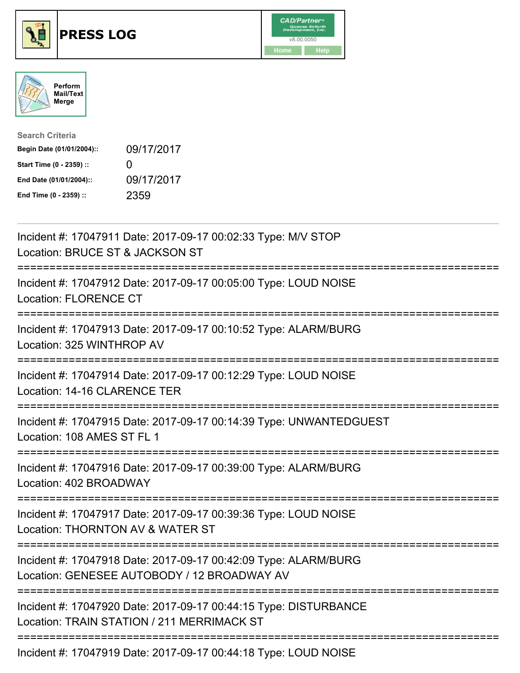





| <b>Search Criteria</b>    |                   |
|---------------------------|-------------------|
| Begin Date (01/01/2004):: | 09/17/2017        |
| Start Time (0 - 2359) ::  | $\mathbf{\Omega}$ |
| End Date (01/01/2004)::   | 09/17/2017        |
| End Time (0 - 2359) ::    | 2359              |

| Incident #: 17047911 Date: 2017-09-17 00:02:33 Type: M/V STOP<br>Location: BRUCE ST & JACKSON ST               |
|----------------------------------------------------------------------------------------------------------------|
| Incident #: 17047912 Date: 2017-09-17 00:05:00 Type: LOUD NOISE<br><b>Location: FLORENCE CT</b>                |
| Incident #: 17047913 Date: 2017-09-17 00:10:52 Type: ALARM/BURG<br>Location: 325 WINTHROP AV                   |
| Incident #: 17047914 Date: 2017-09-17 00:12:29 Type: LOUD NOISE<br>Location: 14-16 CLARENCE TER                |
| Incident #: 17047915 Date: 2017-09-17 00:14:39 Type: UNWANTEDGUEST<br>Location: 108 AMES ST FL 1               |
| Incident #: 17047916 Date: 2017-09-17 00:39:00 Type: ALARM/BURG<br>Location: 402 BROADWAY                      |
| Incident #: 17047917 Date: 2017-09-17 00:39:36 Type: LOUD NOISE<br>Location: THORNTON AV & WATER ST            |
| Incident #: 17047918 Date: 2017-09-17 00:42:09 Type: ALARM/BURG<br>Location: GENESEE AUTOBODY / 12 BROADWAY AV |
| Incident #: 17047920 Date: 2017-09-17 00:44:15 Type: DISTURBANCE<br>Location: TRAIN STATION / 211 MERRIMACK ST |
|                                                                                                                |

Incident #: 17047919 Date: 2017-09-17 00:44:18 Type: LOUD NOISE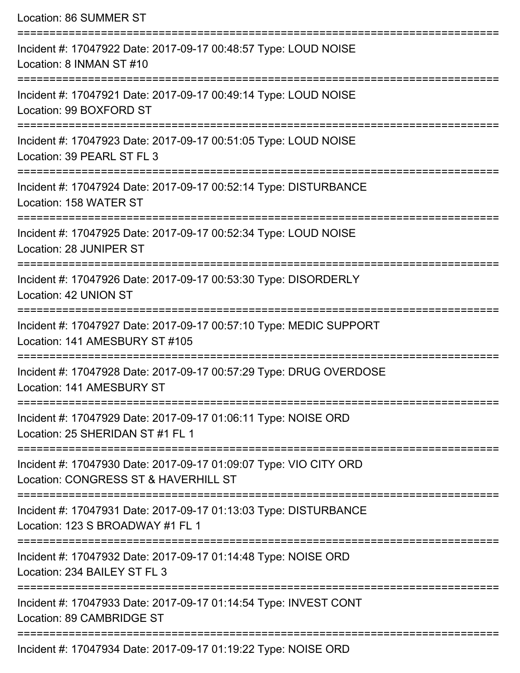| Location: 86 SUMMER ST                                                                                                              |
|-------------------------------------------------------------------------------------------------------------------------------------|
| Incident #: 17047922 Date: 2017-09-17 00:48:57 Type: LOUD NOISE<br>Location: 8 INMAN ST #10<br>;=================================== |
| Incident #: 17047921 Date: 2017-09-17 00:49:14 Type: LOUD NOISE<br>Location: 99 BOXFORD ST                                          |
| Incident #: 17047923 Date: 2017-09-17 00:51:05 Type: LOUD NOISE<br>Location: 39 PEARL ST FL 3                                       |
| Incident #: 17047924 Date: 2017-09-17 00:52:14 Type: DISTURBANCE<br>Location: 158 WATER ST                                          |
| Incident #: 17047925 Date: 2017-09-17 00:52:34 Type: LOUD NOISE<br>Location: 28 JUNIPER ST                                          |
| Incident #: 17047926 Date: 2017-09-17 00:53:30 Type: DISORDERLY<br>Location: 42 UNION ST                                            |
| Incident #: 17047927 Date: 2017-09-17 00:57:10 Type: MEDIC SUPPORT<br>Location: 141 AMESBURY ST #105                                |
| -------------------<br>Incident #: 17047928 Date: 2017-09-17 00:57:29 Type: DRUG OVERDOSE<br>Location: 141 AMESBURY ST              |
| Incident #: 17047929 Date: 2017-09-17 01:06:11 Type: NOISE ORD<br>Location: 25 SHERIDAN ST #1 FL 1                                  |
| Incident #: 17047930 Date: 2017-09-17 01:09:07 Type: VIO CITY ORD<br>Location: CONGRESS ST & HAVERHILL ST                           |
| Incident #: 17047931 Date: 2017-09-17 01:13:03 Type: DISTURBANCE<br>Location: 123 S BROADWAY #1 FL 1                                |
| Incident #: 17047932 Date: 2017-09-17 01:14:48 Type: NOISE ORD<br>Location: 234 BAILEY ST FL 3                                      |
| Incident #: 17047933 Date: 2017-09-17 01:14:54 Type: INVEST CONT<br>Location: 89 CAMBRIDGE ST                                       |
| Incident #: 17047934 Date: 2017-09-17 01:19:22 Type: NOISE ORD                                                                      |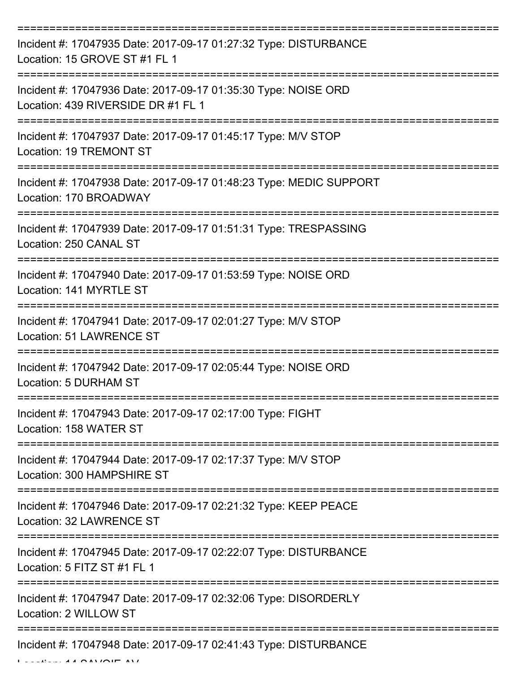| Incident #: 17047935 Date: 2017-09-17 01:27:32 Type: DISTURBANCE<br>Location: 15 GROVE ST #1 FL 1    |
|------------------------------------------------------------------------------------------------------|
| Incident #: 17047936 Date: 2017-09-17 01:35:30 Type: NOISE ORD<br>Location: 439 RIVERSIDE DR #1 FL 1 |
| Incident #: 17047937 Date: 2017-09-17 01:45:17 Type: M/V STOP<br><b>Location: 19 TREMONT ST</b>      |
| Incident #: 17047938 Date: 2017-09-17 01:48:23 Type: MEDIC SUPPORT<br>Location: 170 BROADWAY         |
| Incident #: 17047939 Date: 2017-09-17 01:51:31 Type: TRESPASSING<br>Location: 250 CANAL ST           |
| Incident #: 17047940 Date: 2017-09-17 01:53:59 Type: NOISE ORD<br>Location: 141 MYRTLE ST            |
| Incident #: 17047941 Date: 2017-09-17 02:01:27 Type: M/V STOP<br><b>Location: 51 LAWRENCE ST</b>     |
| Incident #: 17047942 Date: 2017-09-17 02:05:44 Type: NOISE ORD<br>Location: 5 DURHAM ST              |
| Incident #: 17047943 Date: 2017-09-17 02:17:00 Type: FIGHT<br>Location: 158 WATER ST                 |
| Incident #: 17047944 Date: 2017-09-17 02:17:37 Type: M/V STOP<br>Location: 300 HAMPSHIRE ST          |
| Incident #: 17047946 Date: 2017-09-17 02:21:32 Type: KEEP PEACE<br>Location: 32 LAWRENCE ST          |
| Incident #: 17047945 Date: 2017-09-17 02:22:07 Type: DISTURBANCE<br>Location: 5 FITZ ST #1 FL 1      |
| Incident #: 17047947 Date: 2017-09-17 02:32:06 Type: DISORDERLY<br>Location: 2 WILLOW ST             |
| Incident #: 17047948 Date: 2017-09-17 02:41:43 Type: DISTURBANCE                                     |

 $L = L L L L L A A A N L A L T T A V L$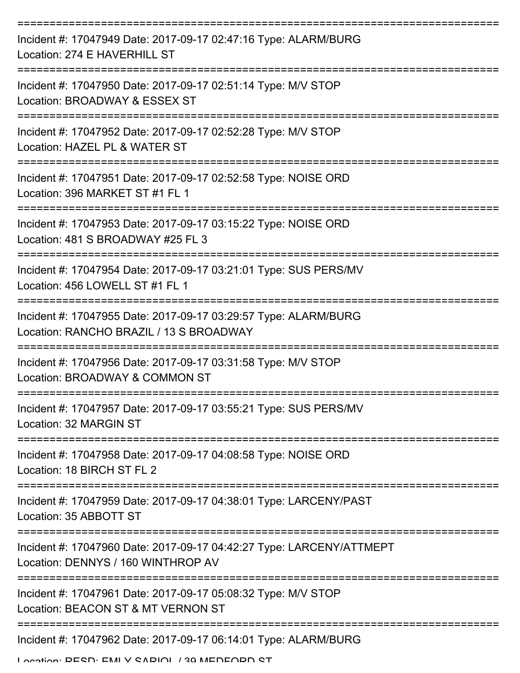| Incident #: 17047949 Date: 2017-09-17 02:47:16 Type: ALARM/BURG<br>Location: 274 E HAVERHILL ST                               |
|-------------------------------------------------------------------------------------------------------------------------------|
| Incident #: 17047950 Date: 2017-09-17 02:51:14 Type: M/V STOP<br>Location: BROADWAY & ESSEX ST                                |
| Incident #: 17047952 Date: 2017-09-17 02:52:28 Type: M/V STOP<br>Location: HAZEL PL & WATER ST                                |
| Incident #: 17047951 Date: 2017-09-17 02:52:58 Type: NOISE ORD<br>Location: 396 MARKET ST #1 FL 1                             |
| Incident #: 17047953 Date: 2017-09-17 03:15:22 Type: NOISE ORD<br>Location: 481 S BROADWAY #25 FL 3                           |
| Incident #: 17047954 Date: 2017-09-17 03:21:01 Type: SUS PERS/MV<br>Location: 456 LOWELL ST #1 FL 1                           |
| ---------------<br>Incident #: 17047955 Date: 2017-09-17 03:29:57 Type: ALARM/BURG<br>Location: RANCHO BRAZIL / 13 S BROADWAY |
| Incident #: 17047956 Date: 2017-09-17 03:31:58 Type: M/V STOP<br>Location: BROADWAY & COMMON ST                               |
| Incident #: 17047957 Date: 2017-09-17 03:55:21 Type: SUS PERS/MV<br>Location: 32 MARGIN ST                                    |
| Incident #: 17047958 Date: 2017-09-17 04:08:58 Type: NOISE ORD<br>Location: 18 BIRCH ST FL 2                                  |
| Incident #: 17047959 Date: 2017-09-17 04:38:01 Type: LARCENY/PAST<br>Location: 35 ABBOTT ST                                   |
| Incident #: 17047960 Date: 2017-09-17 04:42:27 Type: LARCENY/ATTMEPT<br>Location: DENNYS / 160 WINTHROP AV                    |
| Incident #: 17047961 Date: 2017-09-17 05:08:32 Type: M/V STOP<br>Location: BEACON ST & MT VERNON ST                           |
| Incident #: 17047962 Date: 2017-09-17 06:14:01 Type: ALARM/BURG                                                               |

Location: DESD; EMI V SADIOL / 30 MEDEODD ST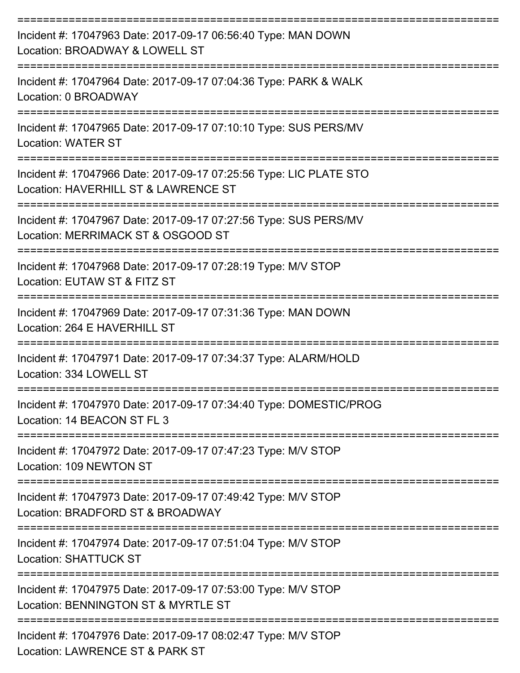| Incident #: 17047963 Date: 2017-09-17 06:56:40 Type: MAN DOWN<br>Location: BROADWAY & LOWELL ST            |
|------------------------------------------------------------------------------------------------------------|
| Incident #: 17047964 Date: 2017-09-17 07:04:36 Type: PARK & WALK<br>Location: 0 BROADWAY                   |
| Incident #: 17047965 Date: 2017-09-17 07:10:10 Type: SUS PERS/MV<br><b>Location: WATER ST</b>              |
| Incident #: 17047966 Date: 2017-09-17 07:25:56 Type: LIC PLATE STO<br>Location: HAVERHILL ST & LAWRENCE ST |
| Incident #: 17047967 Date: 2017-09-17 07:27:56 Type: SUS PERS/MV<br>Location: MERRIMACK ST & OSGOOD ST     |
| Incident #: 17047968 Date: 2017-09-17 07:28:19 Type: M/V STOP<br>Location: EUTAW ST & FITZ ST              |
| Incident #: 17047969 Date: 2017-09-17 07:31:36 Type: MAN DOWN<br>Location: 264 E HAVERHILL ST              |
| Incident #: 17047971 Date: 2017-09-17 07:34:37 Type: ALARM/HOLD<br>Location: 334 LOWELL ST                 |
| Incident #: 17047970 Date: 2017-09-17 07:34:40 Type: DOMESTIC/PROG<br>Location: 14 BEACON ST FL 3          |
| Incident #: 17047972 Date: 2017-09-17 07:47:23 Type: M/V STOP<br>Location: 109 NEWTON ST                   |
| Incident #: 17047973 Date: 2017-09-17 07:49:42 Type: M/V STOP<br>Location: BRADFORD ST & BROADWAY          |
| Incident #: 17047974 Date: 2017-09-17 07:51:04 Type: M/V STOP<br><b>Location: SHATTUCK ST</b>              |
| Incident #: 17047975 Date: 2017-09-17 07:53:00 Type: M/V STOP<br>Location: BENNINGTON ST & MYRTLE ST       |
| Incident #: 17047976 Date: 2017-09-17 08:02:47 Type: M/V STOP<br>Location: LAWRENCE ST & PARK ST           |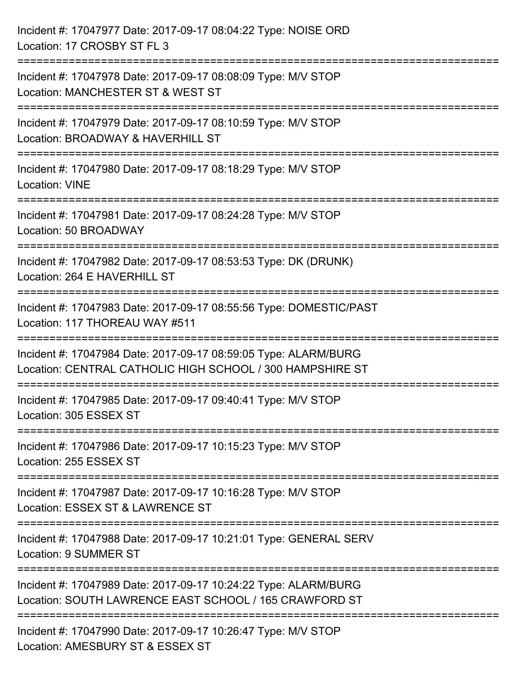| Incident #: 17047977 Date: 2017-09-17 08:04:22 Type: NOISE ORD<br>Location: 17 CROSBY ST FL 3                                |
|------------------------------------------------------------------------------------------------------------------------------|
| Incident #: 17047978 Date: 2017-09-17 08:08:09 Type: M/V STOP<br>Location: MANCHESTER ST & WEST ST                           |
| Incident #: 17047979 Date: 2017-09-17 08:10:59 Type: M/V STOP<br>Location: BROADWAY & HAVERHILL ST<br>====================== |
| Incident #: 17047980 Date: 2017-09-17 08:18:29 Type: M/V STOP<br><b>Location: VINE</b>                                       |
| Incident #: 17047981 Date: 2017-09-17 08:24:28 Type: M/V STOP<br>Location: 50 BROADWAY                                       |
| Incident #: 17047982 Date: 2017-09-17 08:53:53 Type: DK (DRUNK)<br>Location: 264 E HAVERHILL ST                              |
| Incident #: 17047983 Date: 2017-09-17 08:55:56 Type: DOMESTIC/PAST<br>Location: 117 THOREAU WAY #511                         |
| Incident #: 17047984 Date: 2017-09-17 08:59:05 Type: ALARM/BURG<br>Location: CENTRAL CATHOLIC HIGH SCHOOL / 300 HAMPSHIRE ST |
| Incident #: 17047985 Date: 2017-09-17 09:40:41 Type: M/V STOP<br>Location: 305 ESSEX ST                                      |
| Incident #: 17047986 Date: 2017-09-17 10:15:23 Type: M/V STOP<br>Location: 255 ESSEX ST                                      |
| Incident #: 17047987 Date: 2017-09-17 10:16:28 Type: M/V STOP<br>Location: ESSEX ST & LAWRENCE ST                            |
| Incident #: 17047988 Date: 2017-09-17 10:21:01 Type: GENERAL SERV<br>Location: 9 SUMMER ST                                   |
| Incident #: 17047989 Date: 2017-09-17 10:24:22 Type: ALARM/BURG<br>Location: SOUTH LAWRENCE EAST SCHOOL / 165 CRAWFORD ST    |
| Incident #: 17047990 Date: 2017-09-17 10:26:47 Type: M/V STOP<br>Location: AMESBURY ST & ESSEX ST                            |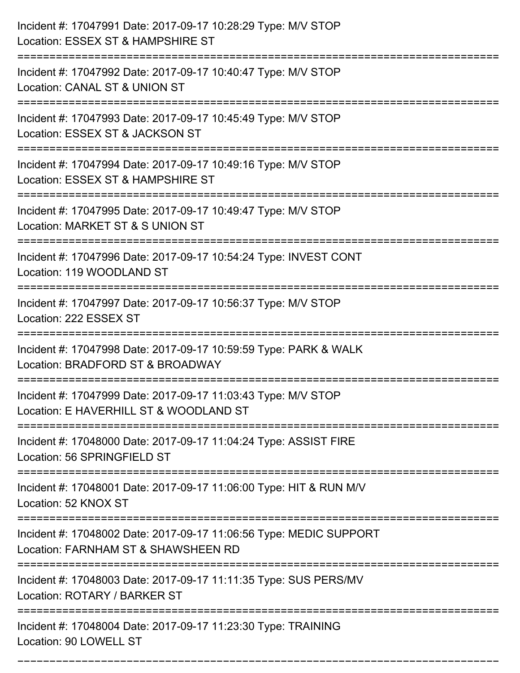| Incident #: 17047991 Date: 2017-09-17 10:28:29 Type: M/V STOP<br>Location: ESSEX ST & HAMPSHIRE ST                             |
|--------------------------------------------------------------------------------------------------------------------------------|
| :=====================<br>Incident #: 17047992 Date: 2017-09-17 10:40:47 Type: M/V STOP<br>Location: CANAL ST & UNION ST       |
| Incident #: 17047993 Date: 2017-09-17 10:45:49 Type: M/V STOP<br>Location: ESSEX ST & JACKSON ST<br>:========================= |
| Incident #: 17047994 Date: 2017-09-17 10:49:16 Type: M/V STOP<br>Location: ESSEX ST & HAMPSHIRE ST                             |
| Incident #: 17047995 Date: 2017-09-17 10:49:47 Type: M/V STOP<br>Location: MARKET ST & S UNION ST                              |
| Incident #: 17047996 Date: 2017-09-17 10:54:24 Type: INVEST CONT<br>Location: 119 WOODLAND ST                                  |
| Incident #: 17047997 Date: 2017-09-17 10:56:37 Type: M/V STOP<br>Location: 222 ESSEX ST                                        |
| Incident #: 17047998 Date: 2017-09-17 10:59:59 Type: PARK & WALK<br>Location: BRADFORD ST & BROADWAY                           |
| Incident #: 17047999 Date: 2017-09-17 11:03:43 Type: M/V STOP<br>Location: E HAVERHILL ST & WOODLAND ST                        |
| Incident #: 17048000 Date: 2017-09-17 11:04:24 Type: ASSIST FIRE<br>Location: 56 SPRINGFIELD ST                                |
| Incident #: 17048001 Date: 2017-09-17 11:06:00 Type: HIT & RUN M/V<br>Location: 52 KNOX ST                                     |
| Incident #: 17048002 Date: 2017-09-17 11:06:56 Type: MEDIC SUPPORT<br>Location: FARNHAM ST & SHAWSHEEN RD                      |
| Incident #: 17048003 Date: 2017-09-17 11:11:35 Type: SUS PERS/MV<br>Location: ROTARY / BARKER ST                               |
| Incident #: 17048004 Date: 2017-09-17 11:23:30 Type: TRAINING<br>Location: 90 LOWELL ST                                        |

===========================================================================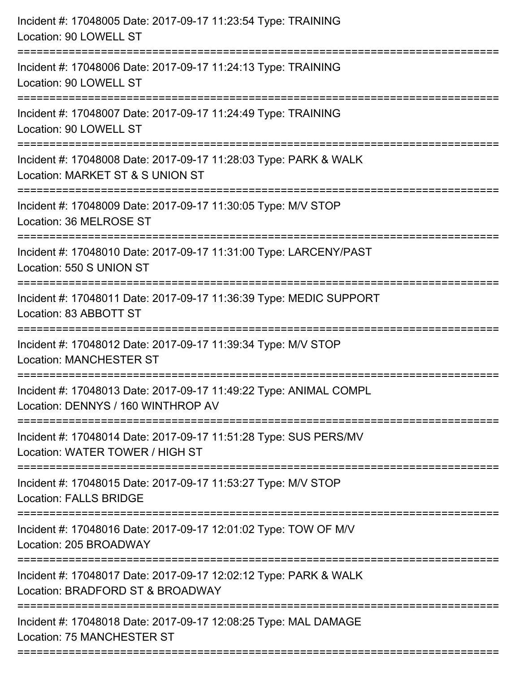| Incident #: 17048005 Date: 2017-09-17 11:23:54 Type: TRAINING<br>Location: 90 LOWELL ST                 |
|---------------------------------------------------------------------------------------------------------|
| Incident #: 17048006 Date: 2017-09-17 11:24:13 Type: TRAINING<br>Location: 90 LOWELL ST                 |
| Incident #: 17048007 Date: 2017-09-17 11:24:49 Type: TRAINING<br>Location: 90 LOWELL ST                 |
| Incident #: 17048008 Date: 2017-09-17 11:28:03 Type: PARK & WALK<br>Location: MARKET ST & S UNION ST    |
| Incident #: 17048009 Date: 2017-09-17 11:30:05 Type: M/V STOP<br>Location: 36 MELROSE ST                |
| Incident #: 17048010 Date: 2017-09-17 11:31:00 Type: LARCENY/PAST<br>Location: 550 S UNION ST           |
| Incident #: 17048011 Date: 2017-09-17 11:36:39 Type: MEDIC SUPPORT<br>Location: 83 ABBOTT ST            |
| Incident #: 17048012 Date: 2017-09-17 11:39:34 Type: M/V STOP<br><b>Location: MANCHESTER ST</b>         |
| Incident #: 17048013 Date: 2017-09-17 11:49:22 Type: ANIMAL COMPL<br>Location: DENNYS / 160 WINTHROP AV |
| Incident #: 17048014 Date: 2017-09-17 11:51:28 Type: SUS PERS/MV<br>Location: WATER TOWER / HIGH ST     |
| Incident #: 17048015 Date: 2017-09-17 11:53:27 Type: M/V STOP<br><b>Location: FALLS BRIDGE</b>          |
| Incident #: 17048016 Date: 2017-09-17 12:01:02 Type: TOW OF M/V<br>Location: 205 BROADWAY               |
| Incident #: 17048017 Date: 2017-09-17 12:02:12 Type: PARK & WALK<br>Location: BRADFORD ST & BROADWAY    |
| Incident #: 17048018 Date: 2017-09-17 12:08:25 Type: MAL DAMAGE<br>Location: 75 MANCHESTER ST           |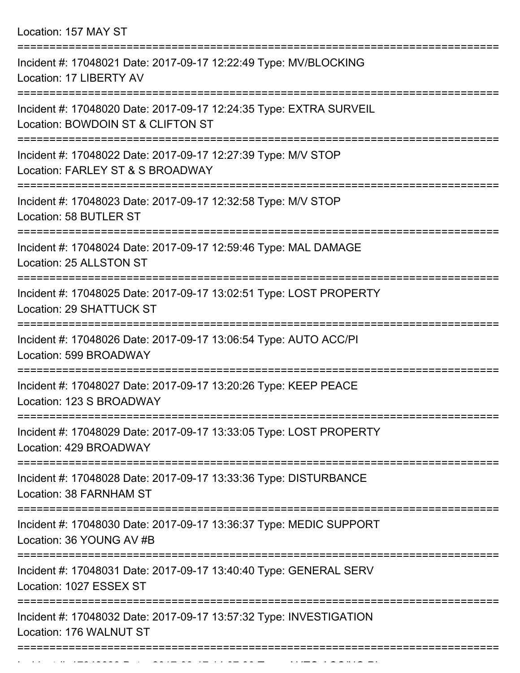Location: 157 MAY ST

| Incident #: 17048021 Date: 2017-09-17 12:22:49 Type: MV/BLOCKING<br>Location: 17 LIBERTY AV                      |
|------------------------------------------------------------------------------------------------------------------|
| Incident #: 17048020 Date: 2017-09-17 12:24:35 Type: EXTRA SURVEIL<br>Location: BOWDOIN ST & CLIFTON ST          |
| Incident #: 17048022 Date: 2017-09-17 12:27:39 Type: M/V STOP<br>Location: FARLEY ST & S BROADWAY                |
| Incident #: 17048023 Date: 2017-09-17 12:32:58 Type: M/V STOP<br>Location: 58 BUTLER ST                          |
| Incident #: 17048024 Date: 2017-09-17 12:59:46 Type: MAL DAMAGE<br>Location: 25 ALLSTON ST                       |
| Incident #: 17048025 Date: 2017-09-17 13:02:51 Type: LOST PROPERTY<br>Location: 29 SHATTUCK ST                   |
| Incident #: 17048026 Date: 2017-09-17 13:06:54 Type: AUTO ACC/PI<br>Location: 599 BROADWAY                       |
| Incident #: 17048027 Date: 2017-09-17 13:20:26 Type: KEEP PEACE<br>Location: 123 S BROADWAY                      |
| ================<br>Incident #: 17048029 Date: 2017-09-17 13:33:05 Type: LOST PROPERTY<br>Location: 429 BROADWAY |
| Incident #: 17048028 Date: 2017-09-17 13:33:36 Type: DISTURBANCE<br>Location: 38 FARNHAM ST                      |
| Incident #: 17048030 Date: 2017-09-17 13:36:37 Type: MEDIC SUPPORT<br>Location: 36 YOUNG AV #B                   |
| Incident #: 17048031 Date: 2017-09-17 13:40:40 Type: GENERAL SERV<br>Location: 1027 ESSEX ST                     |
| Incident #: 17048032 Date: 2017-09-17 13:57:32 Type: INVESTIGATION<br>Location: 176 WALNUT ST                    |
|                                                                                                                  |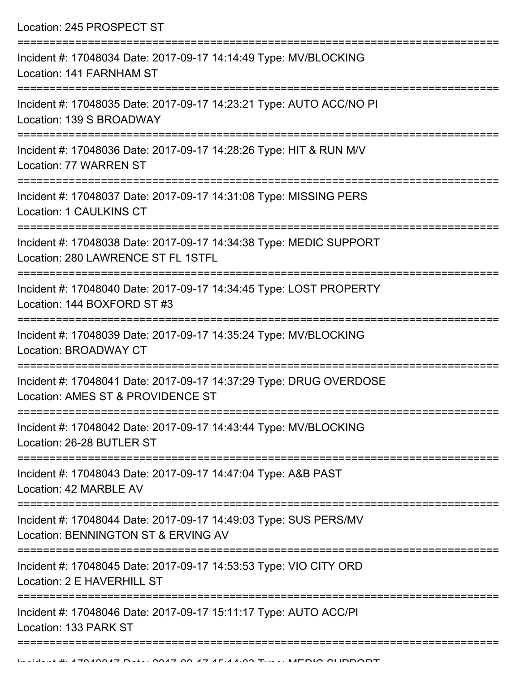| Location: 245 PROSPECT ST<br>====================================                                        |
|----------------------------------------------------------------------------------------------------------|
| Incident #: 17048034 Date: 2017-09-17 14:14:49 Type: MV/BLOCKING<br>Location: 141 FARNHAM ST             |
| Incident #: 17048035 Date: 2017-09-17 14:23:21 Type: AUTO ACC/NO PI<br>Location: 139 S BROADWAY          |
| Incident #: 17048036 Date: 2017-09-17 14:28:26 Type: HIT & RUN M/V<br>Location: 77 WARREN ST             |
| Incident #: 17048037 Date: 2017-09-17 14:31:08 Type: MISSING PERS<br><b>Location: 1 CAULKINS CT</b>      |
| Incident #: 17048038 Date: 2017-09-17 14:34:38 Type: MEDIC SUPPORT<br>Location: 280 LAWRENCE ST FL 1STFL |
| Incident #: 17048040 Date: 2017-09-17 14:34:45 Type: LOST PROPERTY<br>Location: 144 BOXFORD ST #3        |
| Incident #: 17048039 Date: 2017-09-17 14:35:24 Type: MV/BLOCKING<br><b>Location: BROADWAY CT</b>         |
| Incident #: 17048041 Date: 2017-09-17 14:37:29 Type: DRUG OVERDOSE<br>Location: AMES ST & PROVIDENCE ST  |
| Incident #: 17048042 Date: 2017-09-17 14:43:44 Type: MV/BLOCKING<br>Location: 26-28 BUTLER ST            |
| Incident #: 17048043 Date: 2017-09-17 14:47:04 Type: A&B PAST<br>Location: 42 MARBLE AV                  |
| Incident #: 17048044 Date: 2017-09-17 14:49:03 Type: SUS PERS/MV<br>Location: BENNINGTON ST & ERVING AV  |
| Incident #: 17048045 Date: 2017-09-17 14:53:53 Type: VIO CITY ORD<br>Location: 2 E HAVERHILL ST          |
| Incident #: 17048046 Date: 2017-09-17 15:11:17 Type: AUTO ACC/PI<br>Location: 133 PARK ST                |
|                                                                                                          |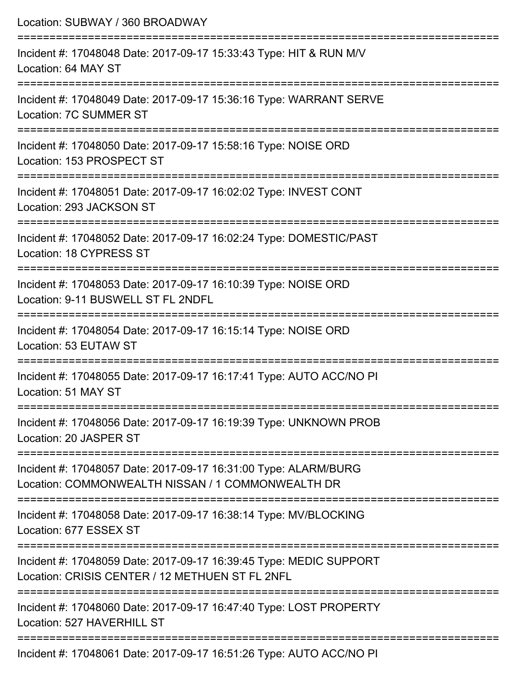| Location: SUBWAY / 360 BROADWAY                                                                                                |
|--------------------------------------------------------------------------------------------------------------------------------|
| Incident #: 17048048 Date: 2017-09-17 15:33:43 Type: HIT & RUN M/V<br>Location: 64 MAY ST                                      |
| Incident #: 17048049 Date: 2017-09-17 15:36:16 Type: WARRANT SERVE<br>Location: 7C SUMMER ST                                   |
| Incident #: 17048050 Date: 2017-09-17 15:58:16 Type: NOISE ORD<br>Location: 153 PROSPECT ST                                    |
| Incident #: 17048051 Date: 2017-09-17 16:02:02 Type: INVEST CONT<br>Location: 293 JACKSON ST                                   |
| Incident #: 17048052 Date: 2017-09-17 16:02:24 Type: DOMESTIC/PAST<br>Location: 18 CYPRESS ST                                  |
| Incident #: 17048053 Date: 2017-09-17 16:10:39 Type: NOISE ORD<br>Location: 9-11 BUSWELL ST FL 2NDFL<br>---------------------- |
| Incident #: 17048054 Date: 2017-09-17 16:15:14 Type: NOISE ORD<br>Location: 53 EUTAW ST                                        |
| Incident #: 17048055 Date: 2017-09-17 16:17:41 Type: AUTO ACC/NO PI<br>Location: 51 MAY ST                                     |
| Incident #: 17048056 Date: 2017-09-17 16:19:39 Type: UNKNOWN PROB<br>Location: 20 JASPER ST                                    |
| Incident #: 17048057 Date: 2017-09-17 16:31:00 Type: ALARM/BURG<br>Location: COMMONWEALTH NISSAN / 1 COMMONWEALTH DR           |
| Incident #: 17048058 Date: 2017-09-17 16:38:14 Type: MV/BLOCKING<br>Location: 677 ESSEX ST                                     |
| Incident #: 17048059 Date: 2017-09-17 16:39:45 Type: MEDIC SUPPORT<br>Location: CRISIS CENTER / 12 METHUEN ST FL 2NFL          |
| Incident #: 17048060 Date: 2017-09-17 16:47:40 Type: LOST PROPERTY<br>Location: 527 HAVERHILL ST                               |
|                                                                                                                                |

Incident #: 17048061 Date: 2017-09-17 16:51:26 Type: AUTO ACC/NO PI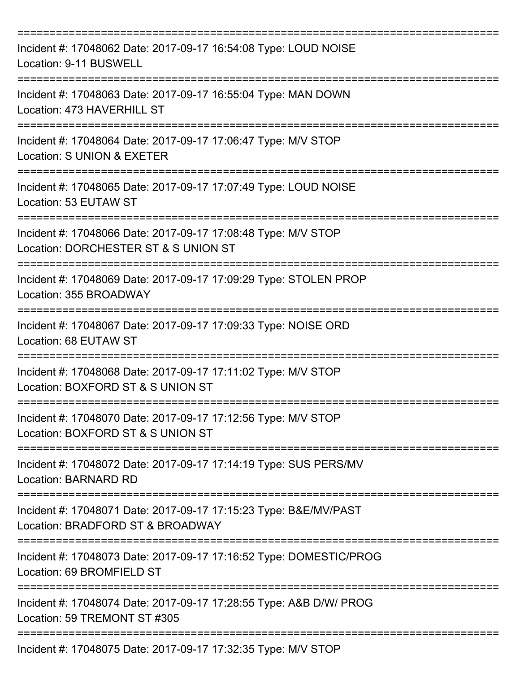| Incident #: 17048062 Date: 2017-09-17 16:54:08 Type: LOUD NOISE<br>Location: 9-11 BUSWELL                    |
|--------------------------------------------------------------------------------------------------------------|
| Incident #: 17048063 Date: 2017-09-17 16:55:04 Type: MAN DOWN<br>Location: 473 HAVERHILL ST                  |
| Incident #: 17048064 Date: 2017-09-17 17:06:47 Type: M/V STOP<br>Location: S UNION & EXETER                  |
| Incident #: 17048065 Date: 2017-09-17 17:07:49 Type: LOUD NOISE<br>Location: 53 EUTAW ST                     |
| Incident #: 17048066 Date: 2017-09-17 17:08:48 Type: M/V STOP<br>Location: DORCHESTER ST & S UNION ST        |
| Incident #: 17048069 Date: 2017-09-17 17:09:29 Type: STOLEN PROP<br>Location: 355 BROADWAY                   |
| =================<br>Incident #: 17048067 Date: 2017-09-17 17:09:33 Type: NOISE ORD<br>Location: 68 EUTAW ST |
| Incident #: 17048068 Date: 2017-09-17 17:11:02 Type: M/V STOP<br>Location: BOXFORD ST & S UNION ST           |
| Incident #: 17048070 Date: 2017-09-17 17:12:56 Type: M/V STOP<br>Location: BOXFORD ST & S UNION ST           |
| Incident #: 17048072 Date: 2017-09-17 17:14:19 Type: SUS PERS/MV<br><b>Location: BARNARD RD</b>              |
| Incident #: 17048071 Date: 2017-09-17 17:15:23 Type: B&E/MV/PAST<br>Location: BRADFORD ST & BROADWAY         |
| Incident #: 17048073 Date: 2017-09-17 17:16:52 Type: DOMESTIC/PROG<br>Location: 69 BROMFIELD ST              |
| Incident #: 17048074 Date: 2017-09-17 17:28:55 Type: A&B D/W/ PROG<br>Location: 59 TREMONT ST #305           |
| Incident #: 17048075 Date: 2017-09-17 17:32:35 Type: M/V STOP                                                |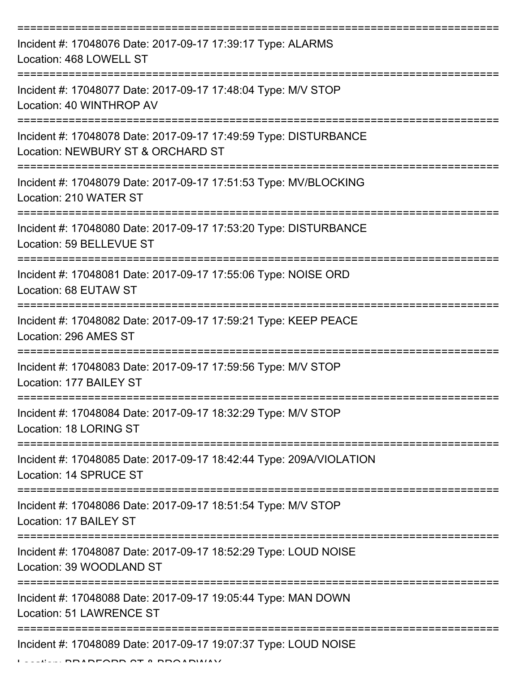| Incident #: 17048076 Date: 2017-09-17 17:39:17 Type: ALARMS<br>Location: 468 LOWELL ST                |
|-------------------------------------------------------------------------------------------------------|
| Incident #: 17048077 Date: 2017-09-17 17:48:04 Type: M/V STOP<br>Location: 40 WINTHROP AV             |
| Incident #: 17048078 Date: 2017-09-17 17:49:59 Type: DISTURBANCE<br>Location: NEWBURY ST & ORCHARD ST |
| Incident #: 17048079 Date: 2017-09-17 17:51:53 Type: MV/BLOCKING<br>Location: 210 WATER ST            |
| Incident #: 17048080 Date: 2017-09-17 17:53:20 Type: DISTURBANCE<br>Location: 59 BELLEVUE ST          |
| Incident #: 17048081 Date: 2017-09-17 17:55:06 Type: NOISE ORD<br>Location: 68 EUTAW ST               |
| Incident #: 17048082 Date: 2017-09-17 17:59:21 Type: KEEP PEACE<br>Location: 296 AMES ST              |
| Incident #: 17048083 Date: 2017-09-17 17:59:56 Type: M/V STOP<br>Location: 177 BAILEY ST              |
| Incident #: 17048084 Date: 2017-09-17 18:32:29 Type: M/V STOP<br>Location: 18 LORING ST               |
| Incident #: 17048085 Date: 2017-09-17 18:42:44 Type: 209A/VIOLATION<br>Location: 14 SPRUCE ST         |
| Incident #: 17048086 Date: 2017-09-17 18:51:54 Type: M/V STOP<br>Location: 17 BAILEY ST               |
| Incident #: 17048087 Date: 2017-09-17 18:52:29 Type: LOUD NOISE<br>Location: 39 WOODLAND ST           |
| Incident #: 17048088 Date: 2017-09-17 19:05:44 Type: MAN DOWN<br>Location: 51 LAWRENCE ST             |
| Incident #: 17048089 Date: 2017-09-17 19:07:37 Type: LOUD NOISE                                       |

 $L$ ... BRADFORD OT & BROADWAY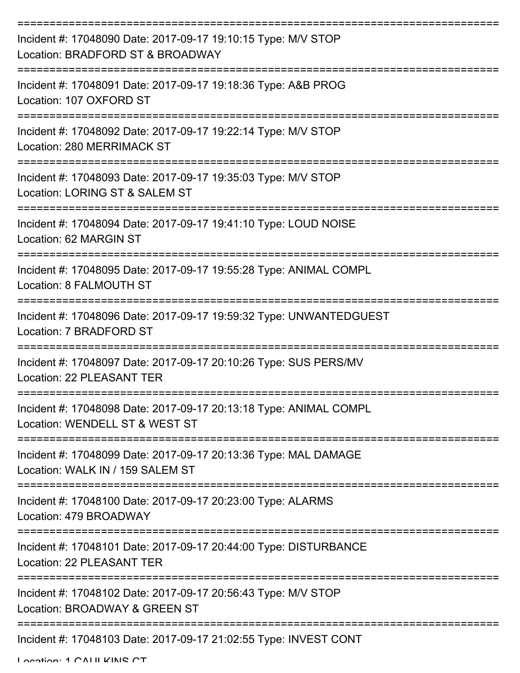| Incident #: 17048090 Date: 2017-09-17 19:10:15 Type: M/V STOP<br>Location: BRADFORD ST & BROADWAY             |
|---------------------------------------------------------------------------------------------------------------|
| Incident #: 17048091 Date: 2017-09-17 19:18:36 Type: A&B PROG<br>Location: 107 OXFORD ST                      |
| --------------<br>Incident #: 17048092 Date: 2017-09-17 19:22:14 Type: M/V STOP<br>Location: 280 MERRIMACK ST |
| Incident #: 17048093 Date: 2017-09-17 19:35:03 Type: M/V STOP<br>Location: LORING ST & SALEM ST               |
| Incident #: 17048094 Date: 2017-09-17 19:41:10 Type: LOUD NOISE<br>Location: 62 MARGIN ST                     |
| Incident #: 17048095 Date: 2017-09-17 19:55:28 Type: ANIMAL COMPL<br>Location: 8 FALMOUTH ST                  |
| Incident #: 17048096 Date: 2017-09-17 19:59:32 Type: UNWANTEDGUEST<br>Location: 7 BRADFORD ST                 |
| Incident #: 17048097 Date: 2017-09-17 20:10:26 Type: SUS PERS/MV<br>Location: 22 PLEASANT TER                 |
| Incident #: 17048098 Date: 2017-09-17 20:13:18 Type: ANIMAL COMPL<br>Location: WENDELL ST & WEST ST           |
| Incident #: 17048099 Date: 2017-09-17 20:13:36 Type: MAL DAMAGE<br>Location: WALK IN / 159 SALEM ST           |
| Incident #: 17048100 Date: 2017-09-17 20:23:00 Type: ALARMS<br>Location: 479 BROADWAY                         |
| Incident #: 17048101 Date: 2017-09-17 20:44:00 Type: DISTURBANCE<br>Location: 22 PLEASANT TER                 |
| Incident #: 17048102 Date: 2017-09-17 20:56:43 Type: M/V STOP<br>Location: BROADWAY & GREEN ST                |
| Incident #: 17048103 Date: 2017-09-17 21:02:55 Type: INVEST CONT                                              |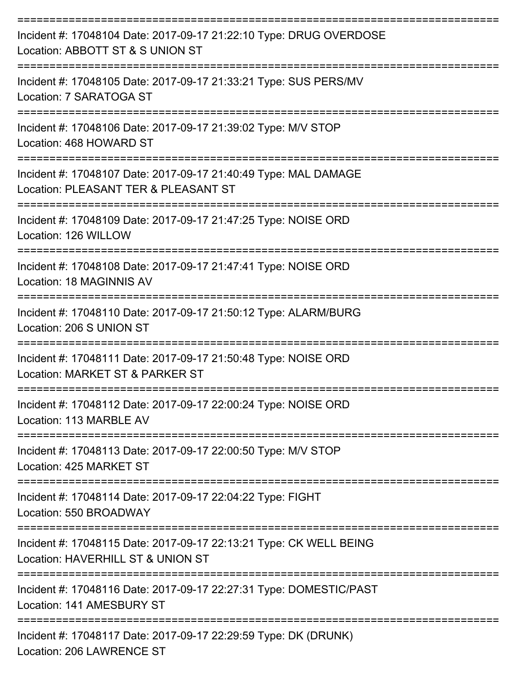| Incident #: 17048104 Date: 2017-09-17 21:22:10 Type: DRUG OVERDOSE<br>Location: ABBOTT ST & S UNION ST                                |
|---------------------------------------------------------------------------------------------------------------------------------------|
| Incident #: 17048105 Date: 2017-09-17 21:33:21 Type: SUS PERS/MV<br>Location: 7 SARATOGA ST                                           |
| Incident #: 17048106 Date: 2017-09-17 21:39:02 Type: M/V STOP<br>Location: 468 HOWARD ST                                              |
| Incident #: 17048107 Date: 2017-09-17 21:40:49 Type: MAL DAMAGE<br>Location: PLEASANT TER & PLEASANT ST                               |
| Incident #: 17048109 Date: 2017-09-17 21:47:25 Type: NOISE ORD<br>Location: 126 WILLOW                                                |
| Incident #: 17048108 Date: 2017-09-17 21:47:41 Type: NOISE ORD<br>Location: 18 MAGINNIS AV                                            |
| Incident #: 17048110 Date: 2017-09-17 21:50:12 Type: ALARM/BURG<br>Location: 206 S UNION ST                                           |
| Incident #: 17048111 Date: 2017-09-17 21:50:48 Type: NOISE ORD<br>Location: MARKET ST & PARKER ST                                     |
| Incident #: 17048112 Date: 2017-09-17 22:00:24 Type: NOISE ORD<br>Location: 113 MARBLE AV                                             |
| Incident #: 17048113 Date: 2017-09-17 22:00:50 Type: M/V STOP<br>Location: 425 MARKET ST                                              |
| Incident #: 17048114 Date: 2017-09-17 22:04:22 Type: FIGHT<br>Location: 550 BROADWAY                                                  |
| ==========================<br>Incident #: 17048115 Date: 2017-09-17 22:13:21 Type: CK WELL BEING<br>Location: HAVERHILL ST & UNION ST |
| Incident #: 17048116 Date: 2017-09-17 22:27:31 Type: DOMESTIC/PAST<br>Location: 141 AMESBURY ST                                       |
| Incident #: 17048117 Date: 2017-09-17 22:29:59 Type: DK (DRUNK)<br>Location: 206 LAWRENCE ST                                          |